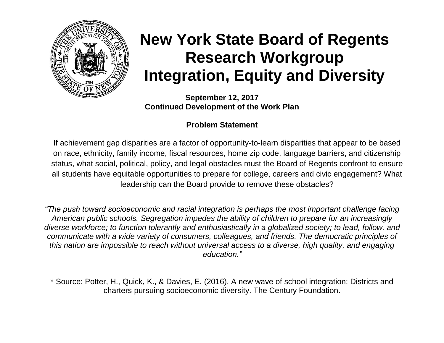

# **New York State Board of Regents Research Workgroup Integration, Equity and Diversity**

**September 12, 2017 Continued Development of the Work Plan**

#### **Problem Statement**

If achievement gap disparities are a factor of opportunity-to-learn disparities that appear to be based on race, ethnicity, family income, fiscal resources, home zip code, language barriers, and citizenship status, what social, political, policy, and legal obstacles must the Board of Regents confront to ensure all students have equitable opportunities to prepare for college, careers and civic engagement? What leadership can the Board provide to remove these obstacles?

*"The push toward socioeconomic and racial integration is perhaps the most important challenge facing American public schools. Segregation impedes the ability of children to prepare for an increasingly diverse workforce; to function tolerantly and enthusiastically in a globalized society; to lead, follow, and communicate with a wide variety of consumers, colleagues, and friends. The democratic principles of this nation are impossible to reach without universal access to a diverse, high quality, and engaging education."* 

\* Source: Potter, H., Quick, K., & Davies, E. (2016). A new wave of school integration: Districts and charters pursuing socioeconomic diversity. The Century Foundation.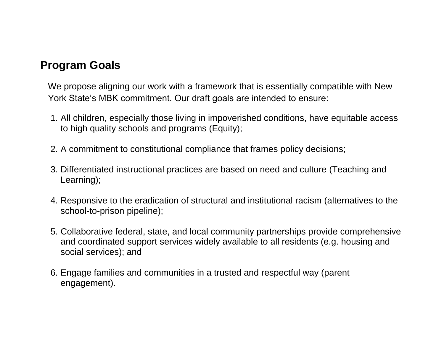#### **Program Goals**

We propose aligning our work with a framework that is essentially compatible with New York State's MBK commitment. Our draft goals are intended to ensure:

- 1. All children, especially those living in impoverished conditions, have equitable access to high quality schools and programs (Equity);
- 2. A commitment to constitutional compliance that frames policy decisions;
- 3. Differentiated instructional practices are based on need and culture (Teaching and Learning);
- 4. Responsive to the eradication of structural and institutional racism (alternatives to the school-to-prison pipeline);
- 5. Collaborative federal, state, and local community partnerships provide comprehensive and coordinated support services widely available to all residents (e.g. housing and social services); and
- 6. Engage families and communities in a trusted and respectful way (parent engagement).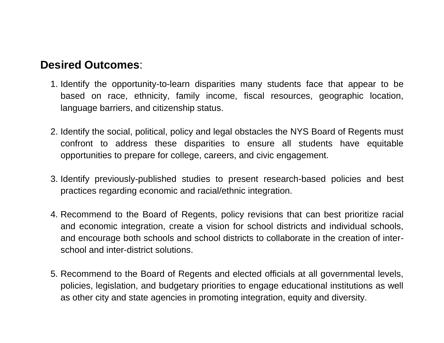#### **Desired Outcomes**:

- 1. Identify the opportunity-to-learn disparities many students face that appear to be based on race, ethnicity, family income, fiscal resources, geographic location, language barriers, and citizenship status.
- 2. Identify the social, political, policy and legal obstacles the NYS Board of Regents must confront to address these disparities to ensure all students have equitable opportunities to prepare for college, careers, and civic engagement.
- 3. Identify previously-published studies to present research-based policies and best practices regarding economic and racial/ethnic integration.
- 4. Recommend to the Board of Regents, policy revisions that can best prioritize racial and economic integration, create a vision for school districts and individual schools, and encourage both schools and school districts to collaborate in the creation of interschool and inter-district solutions.
- 5. Recommend to the Board of Regents and elected officials at all governmental levels, policies, legislation, and budgetary priorities to engage educational institutions as well as other city and state agencies in promoting integration, equity and diversity.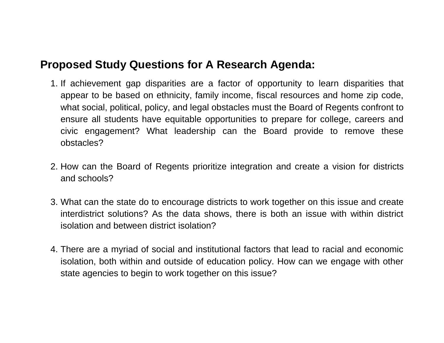#### **Proposed Study Questions for A Research Agenda:**

- 1. If achievement gap disparities are a factor of opportunity to learn disparities that appear to be based on ethnicity, family income, fiscal resources and home zip code, what social, political, policy, and legal obstacles must the Board of Regents confront to ensure all students have equitable opportunities to prepare for college, careers and civic engagement? What leadership can the Board provide to remove these obstacles?
- 2. How can the Board of Regents prioritize integration and create a vision for districts and schools?
- 3. What can the state do to encourage districts to work together on this issue and create interdistrict solutions? As the data shows, there is both an issue with within district isolation and between district isolation?
- 4. There are a myriad of social and institutional factors that lead to racial and economic isolation, both within and outside of education policy. How can we engage with other state agencies to begin to work together on this issue?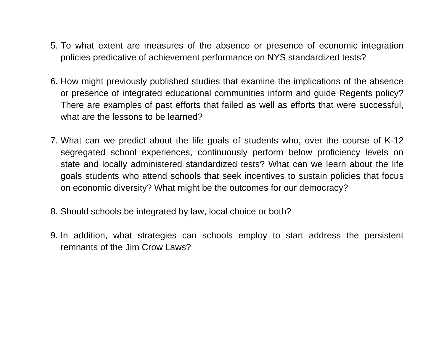- 5. To what extent are measures of the absence or presence of economic integration policies predicative of achievement performance on NYS standardized tests?
- 6. How might previously published studies that examine the implications of the absence or presence of integrated educational communities inform and guide Regents policy? There are examples of past efforts that failed as well as efforts that were successful, what are the lessons to be learned?
- 7. What can we predict about the life goals of students who, over the course of K-12 segregated school experiences, continuously perform below proficiency levels on state and locally administered standardized tests? What can we learn about the life goals students who attend schools that seek incentives to sustain policies that focus on economic diversity? What might be the outcomes for our democracy?
- 8. Should schools be integrated by law, local choice or both?
- 9. In addition, what strategies can schools employ to start address the persistent remnants of the Jim Crow Laws?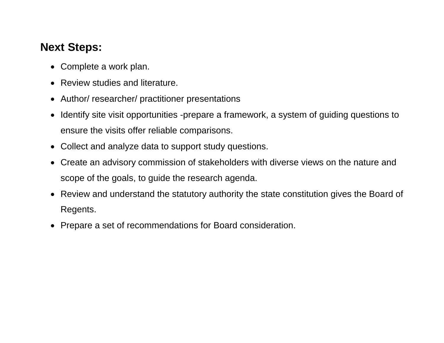### **Next Steps:**

- Complete a work plan.
- Review studies and literature.
- Author/ researcher/ practitioner presentations
- Identify site visit opportunities -prepare a framework, a system of guiding questions to ensure the visits offer reliable comparisons.
- Collect and analyze data to support study questions.
- Create an advisory commission of stakeholders with diverse views on the nature and scope of the goals, to guide the research agenda.
- Review and understand the statutory authority the state constitution gives the Board of Regents.
- Prepare a set of recommendations for Board consideration.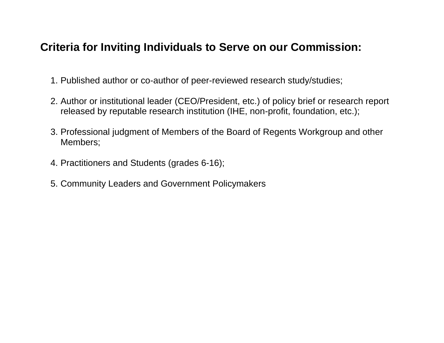### **Criteria for Inviting Individuals to Serve on our Commission:**

- 1. Published author or co-author of peer-reviewed research study/studies;
- 2. Author or institutional leader (CEO/President, etc.) of policy brief or research report released by reputable research institution (IHE, non-profit, foundation, etc.);
- 3. Professional judgment of Members of the Board of Regents Workgroup and other Members;
- 4. Practitioners and Students (grades 6-16);
- 5. Community Leaders and Government Policymakers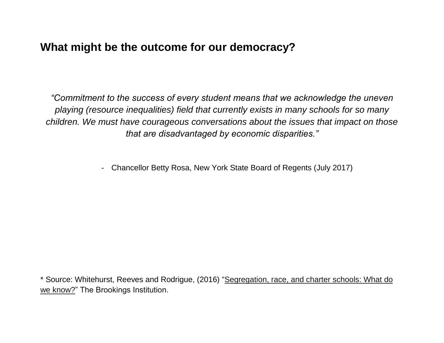#### **What might be the outcome for our democracy?**

*"Commitment to the success of every student means that we acknowledge the uneven playing (resource inequalities) field that currently exists in many schools for so many children. We must have courageous conversations about the issues that impact on those that are disadvantaged by economic disparities."*

- Chancellor Betty Rosa, New York State Board of Regents (July 2017)

\* Source: Whitehurst, Reeves and Rodrigue, (2016) "Segregation, race, and charter schools: What do we know?" The Brookings Institution.